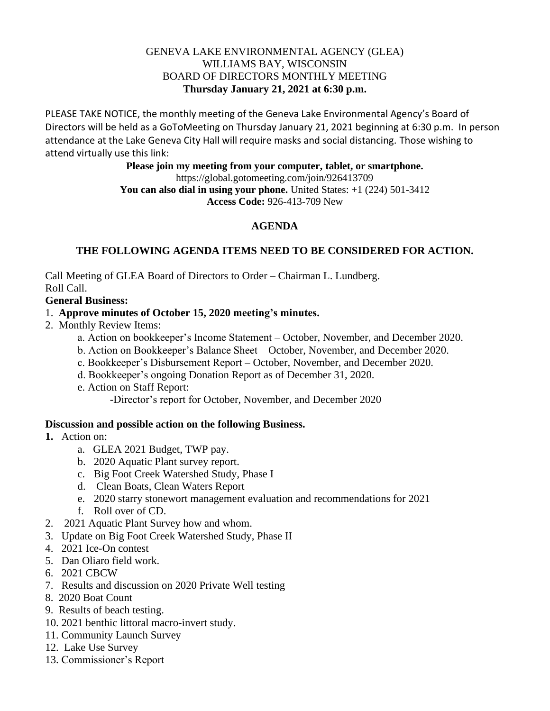## GENEVA LAKE ENVIRONMENTAL AGENCY (GLEA) WILLIAMS BAY, WISCONSIN BOARD OF DIRECTORS MONTHLY MEETING **Thursday January 21, 2021 at 6:30 p.m.**

PLEASE TAKE NOTICE, the monthly meeting of the Geneva Lake Environmental Agency's Board of Directors will be held as a GoToMeeting on Thursday January 21, 2021 beginning at 6:30 p.m. In person attendance at the Lake Geneva City Hall will require masks and social distancing. Those wishing to attend virtually use this link:

> **Please join my meeting from your computer, tablet, or smartphone.**  https://global.gotomeeting.com/join/926413709 **You can also dial in using your phone.** United States: +1 (224) 501-3412 **Access Code:** 926-413-709 New

# **AGENDA**

# **THE FOLLOWING AGENDA ITEMS NEED TO BE CONSIDERED FOR ACTION.**

Call Meeting of GLEA Board of Directors to Order – Chairman L. Lundberg. Roll Call.

#### **General Business:**

#### 1. **Approve minutes of October 15, 2020 meeting's minutes.**

- 2. Monthly Review Items:
	- a. Action on bookkeeper's Income Statement October, November, and December 2020.
	- b. Action on Bookkeeper's Balance Sheet October, November, and December 2020.
	- c. Bookkeeper's Disbursement Report October, November, and December 2020.
	- d. Bookkeeper's ongoing Donation Report as of December 31, 2020.
	- e. Action on Staff Report:

-Director's report for October, November, and December 2020

#### **Discussion and possible action on the following Business.**

## **1.** Action on:

- a. GLEA 2021 Budget, TWP pay.
- b. 2020 Aquatic Plant survey report.
- c. Big Foot Creek Watershed Study, Phase I
- d. Clean Boats, Clean Waters Report
- e. 2020 starry stonewort management evaluation and recommendations for 2021
- f. Roll over of CD.
- 2. 2021 Aquatic Plant Survey how and whom.
- 3. Update on Big Foot Creek Watershed Study, Phase II
- 4. 2021 Ice-On contest
- 5. Dan Oliaro field work.
- 6. 2021 CBCW
- 7. Results and discussion on 2020 Private Well testing
- 8. 2020 Boat Count
- 9. Results of beach testing.
- 10. 2021 benthic littoral macro-invert study.
- 11. Community Launch Survey
- 12. Lake Use Survey
- 13. Commissioner's Report